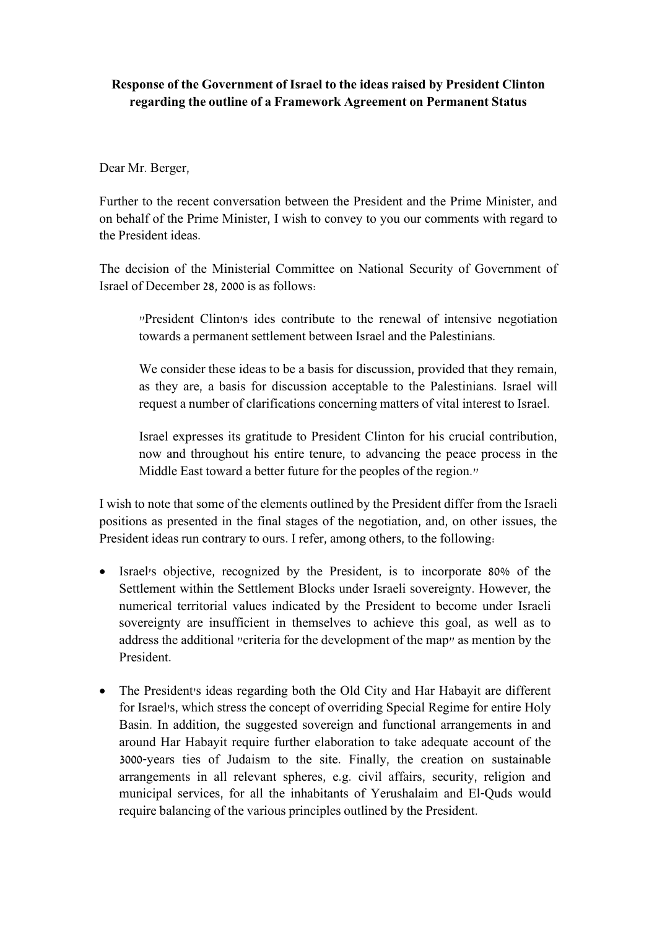# **Response of the Government of Israel to the ideas raised by President Clinton regarding the outline of a Framework Agreement on Permanent Status**

## Dear Mr. Berger,

Further to the recent conversation between the President and the Prime Minister, and on behalf of the Prime Minister, I wish to convey to you our comments with regard to the President ideas.

The decision of the Ministerial Committee on National Security of Government of Israel of December 28, 2000 is as follows:

"President Clinton's ides contribute to the renewal of intensive negotiation towards a permanent settlement between Israel and the Palestinians.

We consider these ideas to be a basis for discussion, provided that they remain, as they are, a basis for discussion acceptable to the Palestinians. Israel will request a number of clarifications concerning matters of vital interest to Israel.

Israel expresses its gratitude to President Clinton for his crucial contribution, now and throughout his entire tenure, to advancing the peace process in the Middle East toward a better future for the peoples of the region."

I wish to note that some of the elements outlined by the President differ from the Israeli positions as presented in the final stages of the negotiation, and, on other issues, the President ideas run contrary to ours. I refer, among others, to the following:

- Israel's objective, recognized by the President, is to incorporate 80% of the Settlement within the Settlement Blocks under Israeli sovereignty. However, the numerical territorial values indicated by the President to become under Israeli sovereignty are insufficient in themselves to achieve this goal, as well as to address the additional "criteria for the development of the map" as mention by the President.
- The President's ideas regarding both the Old City and Har Habayit are different for Israel's, which stress the concept of overriding Special Regime for entire Holy Basin. In addition, the suggested sovereign and functional arrangements in and around Har Habayit require further elaboration to take adequate account of the 3000-years ties of Judaism to the site. Finally, the creation on sustainable arrangements in all relevant spheres, e.g. civil affairs, security, religion and municipal services, for all the inhabitants of Yerushalaim and El-Quds would require balancing of the various principles outlined by the President.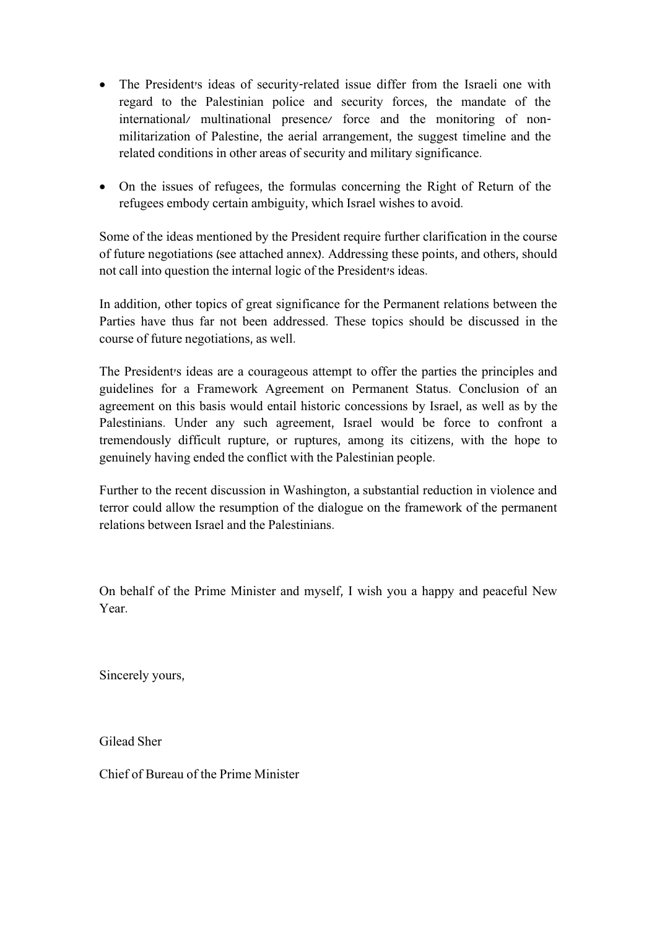- The President's ideas of security-related issue differ from the Israeli one with regard to the Palestinian police and security forces, the mandate of the international/ multinational presence/ force and the monitoring of nonmilitarization of Palestine, the aerial arrangement, the suggest timeline and the related conditions in other areas of security and military significance.
- On the issues of refugees, the formulas concerning the Right of Return of the refugees embody certain ambiguity, which Israel wishes to avoid.

Some of the ideas mentioned by the President require further clarification in the course of future negotiations (see attached annex). Addressing these points, and others, should not call into question the internal logic of the President's ideas.

In addition, other topics of great significance for the Permanent relations between the Parties have thus far not been addressed. These topics should be discussed in the course of future negotiations, as well.

The President's ideas are a courageous attempt to offer the parties the principles and guidelines for a Framework Agreement on Permanent Status. Conclusion of an agreement on this basis would entail historic concessions by Israel, as well as by the Palestinians. Under any such agreement, Israel would be force to confront a tremendously difficult rupture, or ruptures, among its citizens, with the hope to genuinely having ended the conflict with the Palestinian people.

Further to the recent discussion in Washington, a substantial reduction in violence and terror could allow the resumption of the dialogue on the framework of the permanent relations between Israel and the Palestinians.

On behalf of the Prime Minister and myself, I wish you a happy and peaceful New Year.

Sincerely yours,

Gilead Sher

Chief of Bureau of the Prime Minister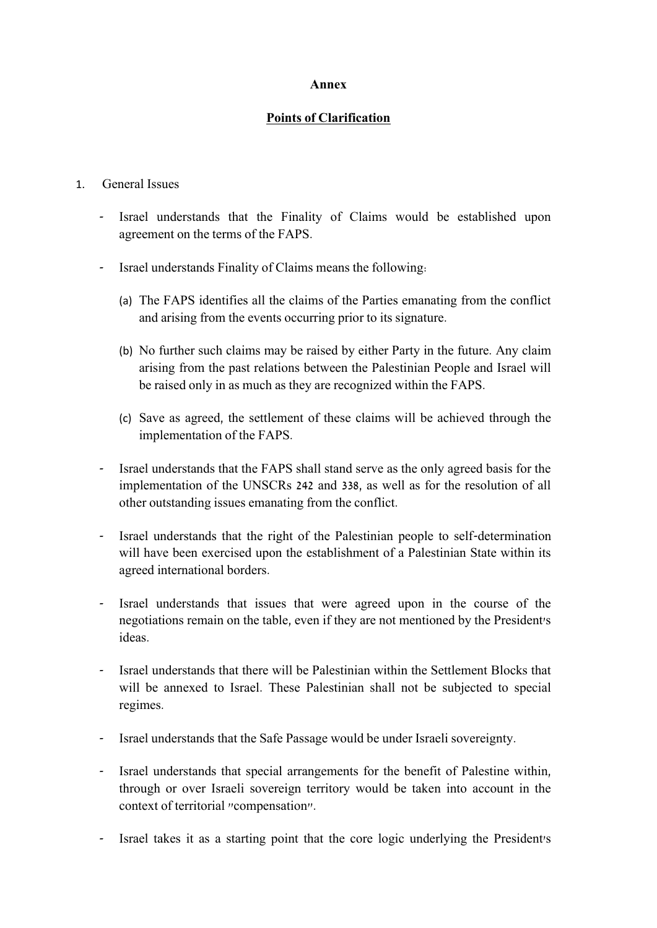### **Annex**

### **Points of Clarification**

### 1. General Issues

- Israel understands that the Finality of Claims would be established upon agreement on the terms of the FAPS.
- Israel understands Finality of Claims means the following:
	- (a) The FAPS identifies all the claims of the Parties emanating from the conflict and arising from the events occurring prior to its signature.
	- (b) No further such claims may be raised by either Party in the future. Any claim arising from the past relations between the Palestinian People and Israel will be raised only in as much as they are recognized within the FAPS.
	- (c) Save as agreed, the settlement of these claims will be achieved through the implementation of the FAPS.
- Israel understands that the FAPS shall stand serve as the only agreed basis for the implementation of the UNSCRs 242 and 338, as well as for the resolution of all other outstanding issues emanating from the conflict.
- Israel understands that the right of the Palestinian people to self-determination will have been exercised upon the establishment of a Palestinian State within its agreed international borders.
- Israel understands that issues that were agreed upon in the course of the negotiations remain on the table, even if they are not mentioned by the President's ideas.
- Israel understands that there will be Palestinian within the Settlement Blocks that will be annexed to Israel. These Palestinian shall not be subjected to special regimes.
- Israel understands that the Safe Passage would be under Israeli sovereignty.
- Israel understands that special arrangements for the benefit of Palestine within, through or over Israeli sovereign territory would be taken into account in the context of territorial "compensation".
- Israel takes it as a starting point that the core logic underlying the President's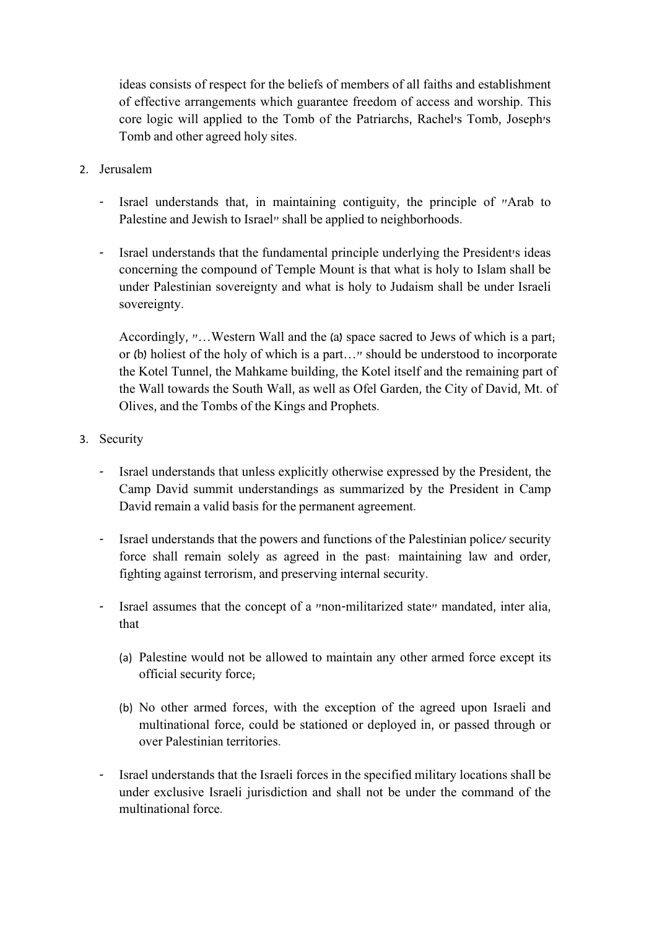ideas consists of respect for the beliefs of members of all faiths and establishment of effective arrangements which guarantee freedom of access and worship. This core logic will applied to the Tomb of the Patriarchs, Rachel's Tomb, Joseph's Tomb and other agreed holy sites.

- 2. Jerusalem
	- Israel understands that, in maintaining contiguity, the principle of "Arab to Palestine and Jewish to Israel" shall be applied to neighborhoods.
	- Israel understands that the fundamental principle underlying the President's ideas concerning the compound of Temple Mount is that what is holy to Islam shall be under Palestinian sovereignty and what is holy to Judaism shall be under Israeli sovereignty.

Accordingly, "…Western Wall and the (a) space sacred to Jews of which is a part; or (b) holiest of the holy of which is a part…" should be understood to incorporate the Kotel Tunnel, the Mahkame building, the Kotel itself and the remaining part of the Wall towards the South Wall, as well as Ofel Garden, the City of David, Mt. of Olives, and the Tombs of the Kings and Prophets.

- 3. Security
	- Israel understands that unless explicitly otherwise expressed by the President, the Camp David summit understandings as summarized by the President in Camp David remain a valid basis for the permanent agreement.
	- Israel understands that the powers and functions of the Palestinian police/ security force shall remain solely as agreed in the past: maintaining law and order, fighting against terrorism, and preserving internal security.
	- Israel assumes that the concept of a "non-militarized state" mandated, inter alia, that
		- (a) Palestine would not be allowed to maintain any other armed force except its official security force;
		- (b) No other armed forces, with the exception of the agreed upon Israeli and multinational force, could be stationed or deployed in, or passed through or over Palestinian territories.
	- Israel understands that the Israeli forces in the specified military locations shall be under exclusive Israeli jurisdiction and shall not be under the command of the multinational force.